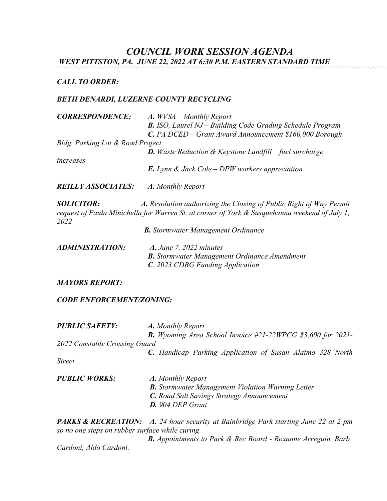# *COUNCIL WORK SESSION AGENDA*

*WEST PITTSTON, PA. JUNE 22, 2022 AT 6:30 P.M. EASTERN STANDARD TIME*

## *CALL TO ORDER:*

## *BETH DENARDI, LUZERNE COUNTY RECYCLING*

| <b>CORRESPONDENCE:</b>           | $A.$ WVSA – Monthly Report                                                                                                                                          |
|----------------------------------|---------------------------------------------------------------------------------------------------------------------------------------------------------------------|
|                                  | <b>B.</b> ISO, Laurel NJ – Building Code Grading Schedule Program                                                                                                   |
|                                  | <b>C.</b> PA DCED – Grant Award Announcement \$160,000 Borough                                                                                                      |
| Bldg. Parking Lot & Road Project |                                                                                                                                                                     |
|                                  | <b>D.</b> Waste Reduction & Keystone Landfill – fuel surcharge                                                                                                      |
| increases                        |                                                                                                                                                                     |
|                                  | <b>E.</b> Lynn & Jack Cole – DPW workers appreciation                                                                                                               |
| <b>REILLY ASSOCIATES:</b>        | A. Monthly Report                                                                                                                                                   |
| <b>SOLICITOR:</b>                | A. Resolution authorizing the Closing of Public Right of Way Permit<br>request of Paula Minichella for Warren St, at corner of York & Susauehanna weekend of July 1 |

*request of Paula Minichella for Warren St. at corner of York & Susquehanna weekend of July 1, 2022*

| <b>B.</b> Stormwater Management Ordinance |  |  |
|-------------------------------------------|--|--|
|-------------------------------------------|--|--|

| ADMINISTRATION: | $A.$ June 7, 2022 minutes                           |
|-----------------|-----------------------------------------------------|
|                 | <b>B.</b> Stormwater Management Ordinance Amendment |
|                 | <b>C.</b> 2023 CDBG Funding Application             |

### *MAYORS REPORT:*

### *CODE ENFORCEMENT/ZONING:*

| <b>PUBLIC SAFETY:</b>         | A. Monthly Report                                                    |
|-------------------------------|----------------------------------------------------------------------|
|                               | <b>B.</b> Wyoming Area School Invoice $#21-22WPCG$ \$3,600 for 2021- |
| 2022 Constable Crossing Guard |                                                                      |
|                               | <b>C.</b> Handicap Parking Application of Susan Alaimo 328 North     |
| <i>Street</i>                 |                                                                      |
| <b>PUBLIC WORKS:</b>          | A. Monthly Report                                                    |
|                               | <b>B.</b> Stormwater Management Violation Warning Letter             |
|                               | C. Road Salt Savings Strategy Announcement                           |
|                               | <b>D.</b> 904 DEP Grant                                              |
|                               |                                                                      |

*PARKS & RECREATION: A. 24 hour security at Bainbridge Park starting June 22 at 2 pm so no one steps on rubber surface while curing* 

 *B. Appointments to Park & Rec Board - Roxanne Arreguin, Barb Cardoni, Aldo Cardoni,*